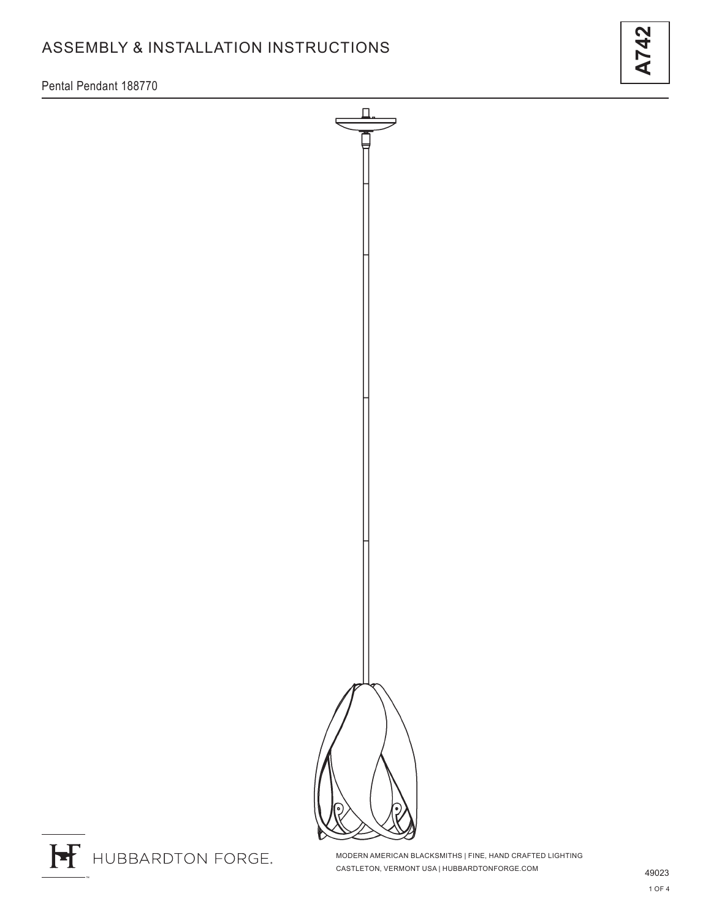# ASSEMBLY & INSTALLATION INSTRUCTIONS

Pental Pendant 188770



H HUBBARDTON FORGE.

MODERN AMERICAN BLACKSMITHS | FINE, HAND CRAFTED LIGHTING CASTLETON, VERMONT USA | HUBBARDTONFORGE.COM 49023

**A742**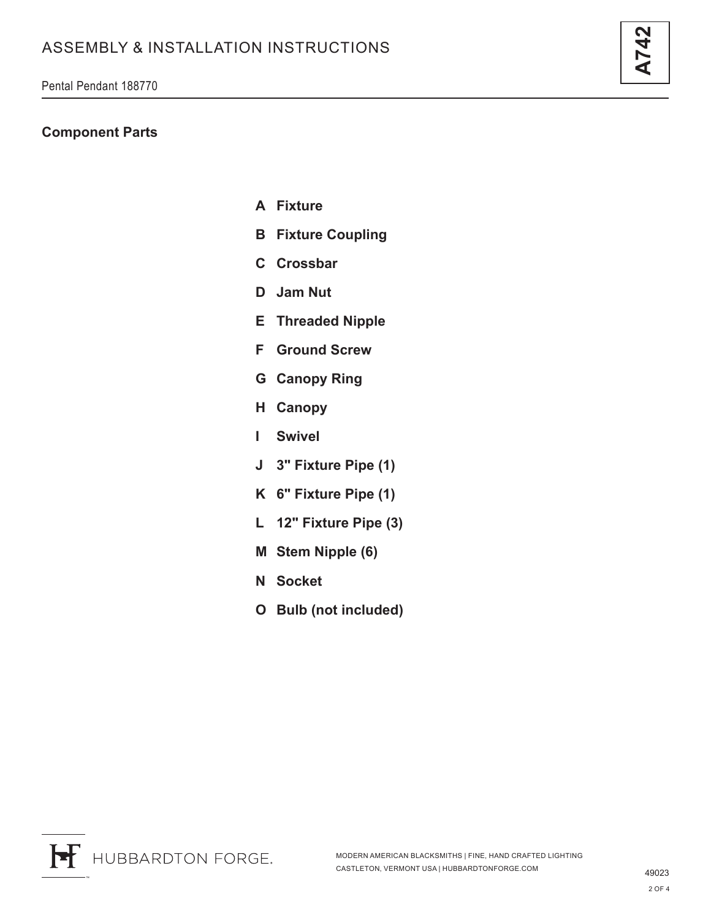Pental Pendant 188770

### **Component Parts**

- **A Fixture**
- **B Fixture Coupling**
- **C Crossbar**
- **D Jam Nut**
- **E Threaded Nipple**
- **F Ground Screw**
- **G Canopy Ring**
- **H Canopy**
- **I Swivel**
- **J 3" Fixture Pipe (1)**
- **K 6" Fixture Pipe (1)**
- **L 12" Fixture Pipe (3)**
- **M Stem Nipple (6)**
- **N Socket**
- **O Bulb (not included)**

**A742**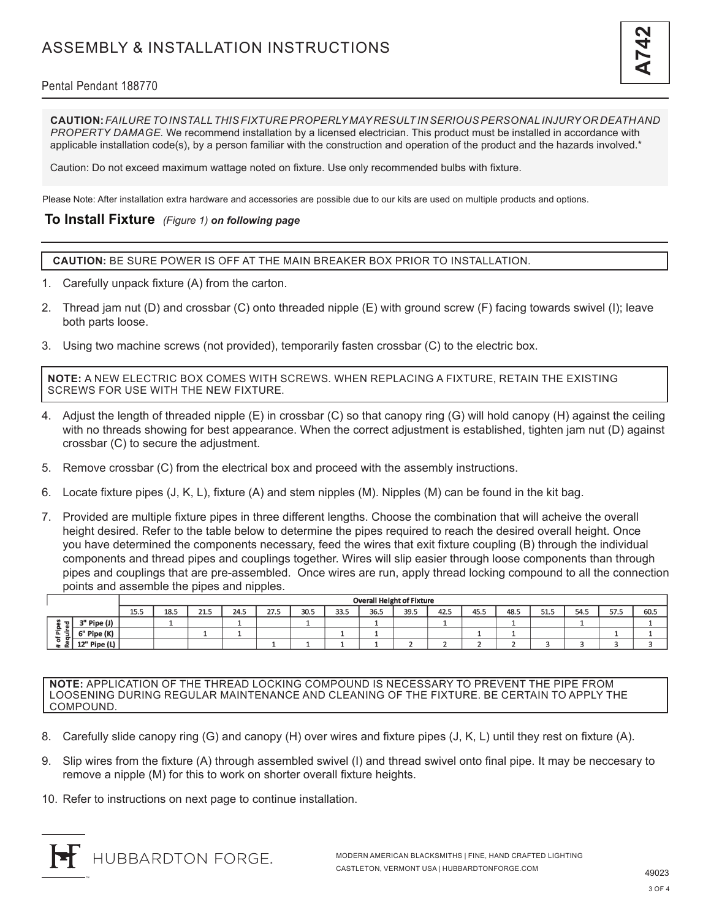## ASSEMBLY & INSTALLATION INSTRUCTIONS



### Pental Pendant 188770

**CAUTION:** *FAILURE TO INSTALL THIS FIXTURE PROPERLY MAY RESULT IN SERIOUS PERSONAL INJURY OR DEATH AND PROPERTY DAMAGE.* We recommend installation by a licensed electrician. This product must be installed in accordance with applicable installation code(s), by a person familiar with the construction and operation of the product and the hazards involved.\*

Caution: Do not exceed maximum wattage noted on fixture. Use only recommended bulbs with fixture.

Please Note: After installation extra hardware and accessories are possible due to our kits are used on multiple products and options.

#### **To Install Fixture** *(Figure 1) on following page*

**CAUTION:** BE SURE POWER IS OFF AT THE MAIN BREAKER BOX PRIOR TO INSTALLATION.

- 1. Carefully unpack fixture (A) from the carton.
- 2. Thread jam nut (D) and crossbar (C) onto threaded nipple (E) with ground screw (F) facing towards swivel (I); leave both parts loose.
- 3. Using two machine screws (not provided), temporarily fasten crossbar (C) to the electric box.

**NOTE:** A NEW ELECTRIC BOX COMES WITH SCREWS. WHEN REPLACING A FIXTURE, RETAIN THE EXISTING SCREWS FOR USE WITH THE NEW FIXTURE.

- 4. Adjust the length of threaded nipple (E) in crossbar (C) so that canopy ring (G) will hold canopy (H) against the ceiling with no threads showing for best appearance. When the correct adjustment is established, tighten jam nut (D) against crossbar (C) to secure the adjustment.
- 5. Remove crossbar (C) from the electrical box and proceed with the assembly instructions.
- 6. Locate fixture pipes (J, K, L), fixture (A) and stem nipples (M). Nipples (M) can be found in the kit bag.
- 7. Provided are multiple fixture pipes in three different lengths. Choose the combination that will acheive the overall height desired. Refer to the table below to determine the pipes required to reach the desired overall height. Once you have determined the components necessary, feed the wires that exit fixture coupling (B) through the individual components and thread pipes and couplings together. Wires will slip easier through loose components than through pipes and couplings that are pre-assembled. Once wires are run, apply thread locking compound to all the connection points and assemble the pipes and nipples.

|                                                     |              | <b>Overall Height of Fixture</b> |      |                     |      |      |      |      |      |      |      |      |      |      |      |      |      |
|-----------------------------------------------------|--------------|----------------------------------|------|---------------------|------|------|------|------|------|------|------|------|------|------|------|------|------|
|                                                     |              | 155<br>ل د ل                     | 18.5 | <b>DA F</b><br>د. ک | 24.5 | 27.5 | 30.5 | 33.5 | 36.5 | 39.5 | 42.5 | 45.5 | 48.5 | 51.5 | 54.5 | 57.5 | 60.5 |
| . च ।<br>a<br>은<br>.<br>௨<br>$\sim$<br>a.<br>œ<br>≖ | 3" Pipe (J)  |                                  |      |                     |      |      |      |      |      |      |      |      |      |      |      |      |      |
|                                                     | 6" Pipe (K)  |                                  |      |                     |      |      |      |      |      |      |      |      |      |      |      |      |      |
|                                                     | 12" Pipe (L) |                                  |      |                     |      |      |      |      |      |      |      |      |      |      |      |      |      |

**NOTE:** APPLICATION OF THE THREAD LOCKING COMPOUND IS NECESSARY TO PREVENT THE PIPE FROM LOOSENING DURING REGULAR MAINTENANCE AND CLEANING OF THE FIXTURE. BE CERTAIN TO APPLY THE COMPOUND.

- 8. Carefully slide canopy ring (G) and canopy (H) over wires and fixture pipes (J, K, L) until they rest on fixture (A).
- 9. Slip wires from the fixture (A) through assembled swivel (I) and thread swivel onto final pipe. It may be neccesary to remove a nipple (M) for this to work on shorter overall fixture heights.
- 10. Refer to instructions on next page to continue installation.